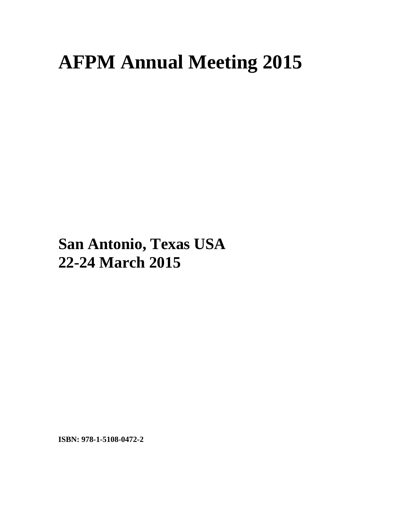## **AFPM Annual Meeting 2015**

## **San Antonio, Texas USA 22-24 March 2015**

**ISBN: 978-1-5108-0472-2**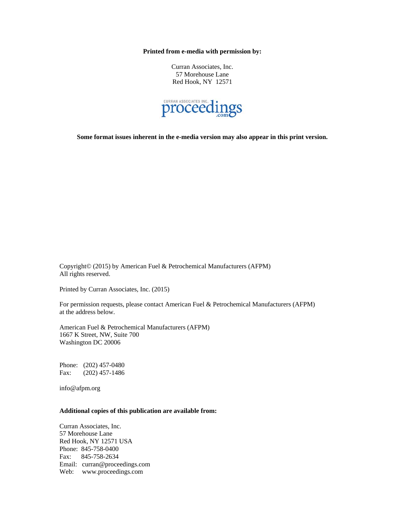**Printed from e-media with permission by:** 

Curran Associates, Inc. 57 Morehouse Lane Red Hook, NY 12571



**Some format issues inherent in the e-media version may also appear in this print version.** 

Copyright© (2015) by American Fuel & Petrochemical Manufacturers (AFPM) All rights reserved.

Printed by Curran Associates, Inc. (2015)

For permission requests, please contact American Fuel & Petrochemical Manufacturers (AFPM) at the address below.

American Fuel & Petrochemical Manufacturers (AFPM) 1667 K Street, NW, Suite 700 Washington DC 20006

Phone: (202) 457-0480 Fax: (202) 457-1486

info@afpm.org

## **Additional copies of this publication are available from:**

Curran Associates, Inc. 57 Morehouse Lane Red Hook, NY 12571 USA Phone: 845-758-0400 Fax: 845-758-2634 Email: curran@proceedings.com Web: www.proceedings.com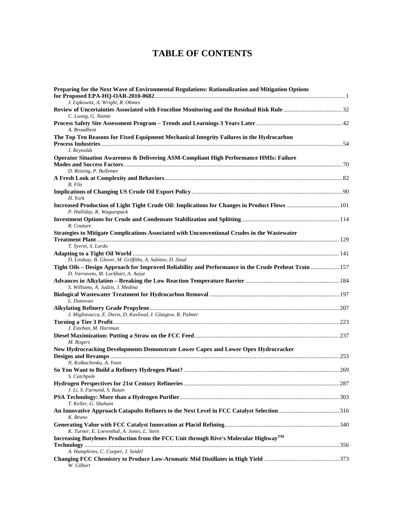## **TABLE OF CONTENTS**

| Preparing for the Next Wave of Environmental Regulations: Rationalization and Mitigation Options                                             |  |
|----------------------------------------------------------------------------------------------------------------------------------------------|--|
| J. Lipkowitz, A. Wright, R. Ohmes                                                                                                            |  |
|                                                                                                                                              |  |
| C. Luong, G. Namie                                                                                                                           |  |
| A. Broadbent                                                                                                                                 |  |
| The Top Ten Reasons for Fixed Equipment Mechanical Integrity Failures in the Hydrocarbon                                                     |  |
|                                                                                                                                              |  |
| J. Reynolds                                                                                                                                  |  |
| Operator Situation Awareness & Delivering ASM-Compliant High Performance HMIs: Failure                                                       |  |
|                                                                                                                                              |  |
| D. Reising, P. Bullemer                                                                                                                      |  |
|                                                                                                                                              |  |
| <b>B.</b> Flis                                                                                                                               |  |
| H. York                                                                                                                                      |  |
| Increased Production of Light Tight Crude Oil: Implications for Changes in Product Flows  101                                                |  |
| P. Halliday, K. Waguespack                                                                                                                   |  |
|                                                                                                                                              |  |
| R. Couture                                                                                                                                   |  |
| Strategies to Mitigate Complications Associated with Unconventional Crudes in the Wastewater                                                 |  |
|                                                                                                                                              |  |
| T. Syvret, S. Lordo                                                                                                                          |  |
|                                                                                                                                              |  |
| D. Lindsay, B. Glover, M. Griffiths, A. Sabitov, D. Sioul                                                                                    |  |
| Tight Oils - Design Approach for Improved Reliability and Performance in the Crude Preheat Train  157<br>D. Varraveto, M. Lockhart, A. Aejaz |  |
| S. Williams, A. Judzis, J. Medina                                                                                                            |  |
| L. Donovan                                                                                                                                   |  |
|                                                                                                                                              |  |
| J. Migliavacca, E. Davis, D. Kasliwal, I. Glasgow, R. Palmer                                                                                 |  |
|                                                                                                                                              |  |
| J. Esteban, M. Hartman                                                                                                                       |  |
|                                                                                                                                              |  |
| M. Rogers                                                                                                                                    |  |
| New Hydrocracking Developments Demonstrate Lower Capex and Lower Opex Hydrocracker                                                           |  |
| N. Kolkachenko, A. Yoon                                                                                                                      |  |
|                                                                                                                                              |  |
| S. Catchpole                                                                                                                                 |  |
| J. Li, S. Farnand, S. Ratan                                                                                                                  |  |
|                                                                                                                                              |  |
| T. Keller, G. Shahani                                                                                                                        |  |
|                                                                                                                                              |  |
| K. Bruno                                                                                                                                     |  |
|                                                                                                                                              |  |
| K. Turner, E. Loewnthal, A. Jones, L. Stein                                                                                                  |  |
| Increasing Butylenes Production from the FCC Unit through Rive's Molecular Highway <sup>TM</sup>                                             |  |
|                                                                                                                                              |  |
| A. Humphries, C. Cooper, J. Seidel                                                                                                           |  |
| W. Gilbert                                                                                                                                   |  |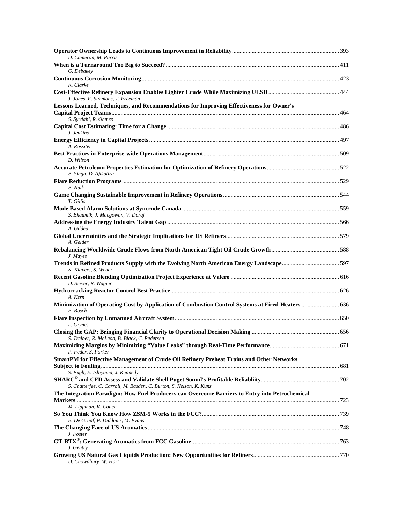| D. Cameron, M. Parris                                                                                          |  |
|----------------------------------------------------------------------------------------------------------------|--|
| G. Debakey                                                                                                     |  |
| K. Clarke                                                                                                      |  |
| J. Jones, F. Simmons, T. Freeman                                                                               |  |
| Lessons Learned, Techniques, and Recommendations for Improving Effectiveness for Owner's                       |  |
| S. Syrdahl, R. Ohmes                                                                                           |  |
| J. Jenkins                                                                                                     |  |
|                                                                                                                |  |
| A. Rossiter<br>D. Wilson                                                                                       |  |
| B. Singh, D. Ajikutira                                                                                         |  |
| <b>B.</b> Naik                                                                                                 |  |
| T. Gillis                                                                                                      |  |
| S. Bhaumik, J. Macgowan, V. Doraj                                                                              |  |
| A. Gildea                                                                                                      |  |
| A. Gelder                                                                                                      |  |
| J. Mayes                                                                                                       |  |
| Trends in Refined Products Supply with the Evolving North American Energy Landscape597<br>K. Klavers, S. Weber |  |
| D. Seiver, R. Wagier                                                                                           |  |
| A. Kern                                                                                                        |  |
| Minimization of Operating Cost by Application of Combustion Control Systems at Fired-Heaters  636<br>E. Bosch  |  |
| L. Crynes                                                                                                      |  |
| S. Treiber, R. McLeod, B. Black, C. Pedersen                                                                   |  |
| P. Feder, S. Parker                                                                                            |  |
| <b>SmartPM for Effective Management of Crude Oil Refinery Preheat Trains and Other Networks</b>                |  |
| S. Pugh, E. Ishiyama, J. Kennedy                                                                               |  |
| S. Chatterjee, C. Carroll, M. Basden, C. Burton, S. Nelson, K. Kunz                                            |  |
| The Integration Paradigm: How Fuel Producers can Overcome Barriers to Entry into Petrochemical                 |  |
| M. Lippman, K. Couch                                                                                           |  |
| B. De Graaf, P. Diddams, M. Evans                                                                              |  |
| J. Foster                                                                                                      |  |
| J. Gentry                                                                                                      |  |
| D. Chowdhury, W. Hart                                                                                          |  |